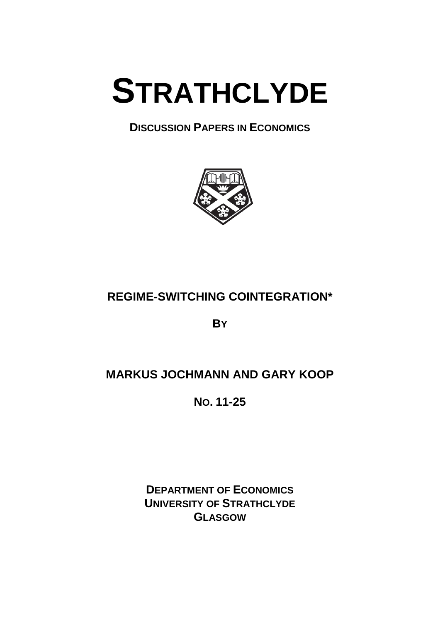# **STRATHCLYDE**

# **DISCUSSION PAPERS IN ECONOMICS**



# **REGIME-SWITCHING COINTEGRATION\***

**BY**

# **MARKUS JOCHMANN AND GARY KOOP**

**NO. 11-25**

**DEPARTMENT OF ECONOMICS UNIVERSITY OF STRATHCLYDE GLASGOW**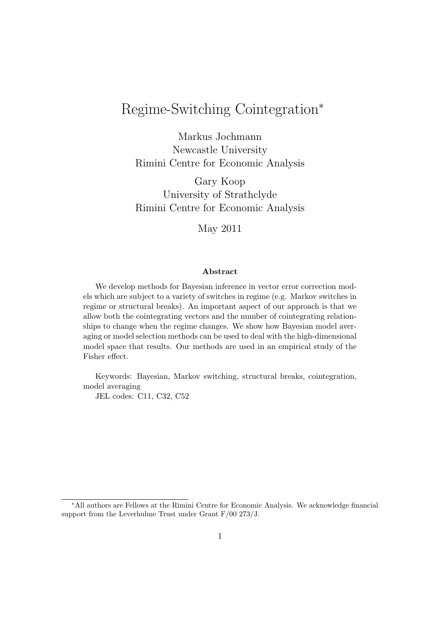# Regime-Switching Cointegration<sup>∗</sup>

Markus Jochmann Newcastle University Rimini Centre for Economic Analysis

Gary Koop University of Strathclyde Rimini Centre for Economic Analysis

May 2011

## Abstract

We develop methods for Bayesian inference in vector error correction models which are subject to a variety of switches in regime (e.g. Markov switches in regime or structural breaks). An important aspect of our approach is that we allow both the cointegrating vectors and the number of cointegrating relationships to change when the regime changes. We show how Bayesian model averaging or model selection methods can be used to deal with the high-dimensional model space that results. Our methods are used in an empirical study of the Fisher effect.

Keywords: Bayesian, Markov switching, structural breaks, cointegration, model averaging

JEL codes: C11, C32, C52

<sup>∗</sup>All authors are Fellows at the Rimini Centre for Economic Analysis. We acknowledge financial support from the Leverhulme Trust under Grant F/00 273/J.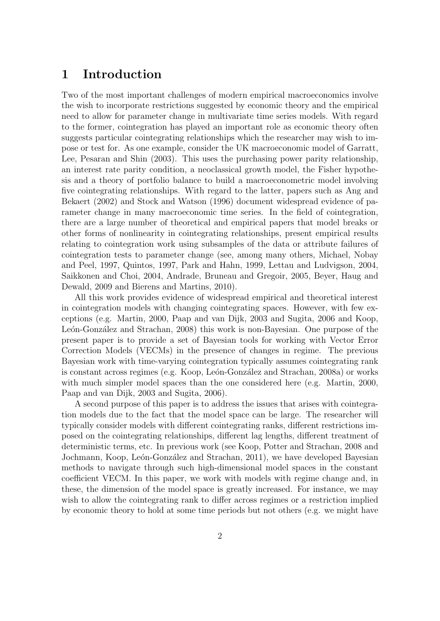## 1 Introduction

Two of the most important challenges of modern empirical macroeconomics involve the wish to incorporate restrictions suggested by economic theory and the empirical need to allow for parameter change in multivariate time series models. With regard to the former, cointegration has played an important role as economic theory often suggests particular cointegrating relationships which the researcher may wish to impose or test for. As one example, consider the UK macroeconomic model of Garratt, Lee, Pesaran and Shin (2003). This uses the purchasing power parity relationship, an interest rate parity condition, a neoclassical growth model, the Fisher hypothesis and a theory of portfolio balance to build a macroeconometric model involving five cointegrating relationships. With regard to the latter, papers such as Ang and Bekaert (2002) and Stock and Watson (1996) document widespread evidence of parameter change in many macroeconomic time series. In the field of cointegration, there are a large number of theoretical and empirical papers that model breaks or other forms of nonlinearity in cointegrating relationships, present empirical results relating to cointegration work using subsamples of the data or attribute failures of cointegration tests to parameter change (see, among many others, Michael, Nobay and Peel, 1997, Quintos, 1997, Park and Hahn, 1999, Lettau and Ludvigson, 2004, Saikkonen and Choi, 2004, Andrade, Bruneau and Gregoir, 2005, Beyer, Haug and Dewald, 2009 and Bierens and Martins, 2010).

All this work provides evidence of widespread empirical and theoretical interest in cointegration models with changing cointegrating spaces. However, with few exceptions (e.g. Martin, 2000, Paap and van Dijk, 2003 and Sugita, 2006 and Koop, León-González and Strachan, 2008) this work is non-Bayesian. One purpose of the present paper is to provide a set of Bayesian tools for working with Vector Error Correction Models (VECMs) in the presence of changes in regime. The previous Bayesian work with time-varying cointegration typically assumes cointegrating rank is constant across regimes (e.g. Koop, León-González and Strachan, 2008a) or works with much simpler model spaces than the one considered here (e.g. Martin, 2000, Paap and van Dijk, 2003 and Sugita, 2006).

A second purpose of this paper is to address the issues that arises with cointegration models due to the fact that the model space can be large. The researcher will typically consider models with different cointegrating ranks, different restrictions imposed on the cointegrating relationships, different lag lengths, different treatment of deterministic terms, etc. In previous work (see Koop, Potter and Strachan, 2008 and Jochmann, Koop, León-González and Strachan, 2011), we have developed Bayesian methods to navigate through such high-dimensional model spaces in the constant coefficient VECM. In this paper, we work with models with regime change and, in these, the dimension of the model space is greatly increased. For instance, we may wish to allow the cointegrating rank to differ across regimes or a restriction implied by economic theory to hold at some time periods but not others (e.g. we might have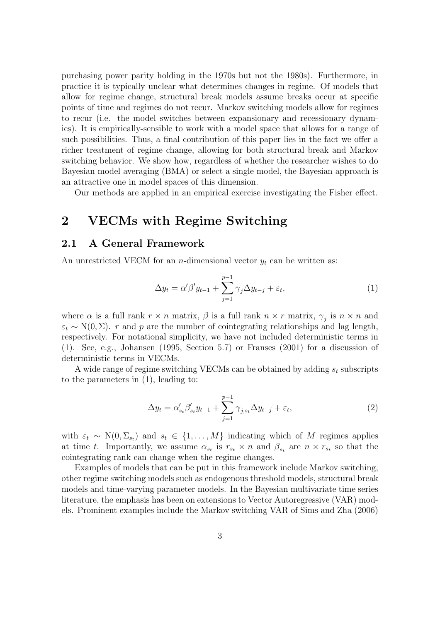purchasing power parity holding in the 1970s but not the 1980s). Furthermore, in practice it is typically unclear what determines changes in regime. Of models that allow for regime change, structural break models assume breaks occur at specific points of time and regimes do not recur. Markov switching models allow for regimes to recur (i.e. the model switches between expansionary and recessionary dynamics). It is empirically-sensible to work with a model space that allows for a range of such possibilities. Thus, a final contribution of this paper lies in the fact we offer a richer treatment of regime change, allowing for both structural break and Markov switching behavior. We show how, regardless of whether the researcher wishes to do Bayesian model averaging (BMA) or select a single model, the Bayesian approach is an attractive one in model spaces of this dimension.

Our methods are applied in an empirical exercise investigating the Fisher effect.

## 2 VECMs with Regime Switching

## 2.1 A General Framework

An unrestricted VECM for an *n*-dimensional vector  $y_t$  can be written as:

$$
\Delta y_t = \alpha' \beta' y_{t-1} + \sum_{j=1}^{p-1} \gamma_j \Delta y_{t-j} + \varepsilon_t,
$$
\n(1)

where  $\alpha$  is a full rank  $r \times n$  matrix,  $\beta$  is a full rank  $n \times r$  matrix,  $\gamma_j$  is  $n \times n$  and  $\varepsilon_t \sim N(0, \Sigma)$ . r and p are the number of cointegrating relationships and lag length, respectively. For notational simplicity, we have not included deterministic terms in (1). See, e.g., Johansen (1995, Section 5.7) or Franses (2001) for a discussion of deterministic terms in VECMs.

A wide range of regime switching VECMs can be obtained by adding  $s_t$  subscripts to the parameters in (1), leading to:

$$
\Delta y_t = \alpha'_{s_t} \beta'_{s_t} y_{t-1} + \sum_{j=1}^{p-1} \gamma_{j,s_t} \Delta y_{t-j} + \varepsilon_t,
$$
\n(2)

with  $\varepsilon_t \sim N(0, \Sigma_{s_t})$  and  $s_t \in \{1, ..., M\}$  indicating which of M regimes applies at time t. Importantly, we assume  $\alpha_{s_t}$  is  $r_{s_t} \times n$  and  $\beta_{s_t}$  are  $n \times r_{s_t}$  so that the cointegrating rank can change when the regime changes.

Examples of models that can be put in this framework include Markov switching, other regime switching models such as endogenous threshold models, structural break models and time-varying parameter models. In the Bayesian multivariate time series literature, the emphasis has been on extensions to Vector Autoregressive (VAR) models. Prominent examples include the Markov switching VAR of Sims and Zha (2006)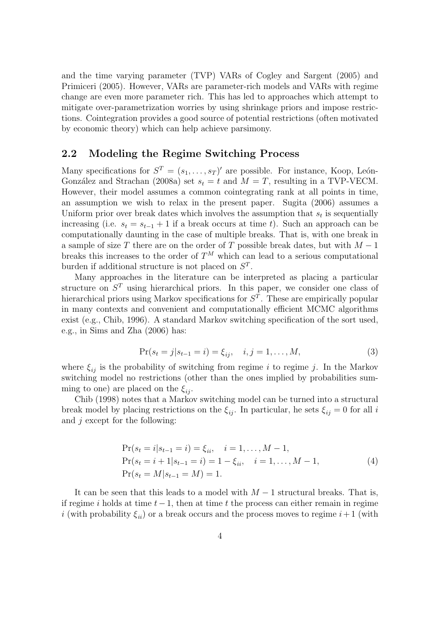and the time varying parameter (TVP) VARs of Cogley and Sargent (2005) and Primiceri (2005). However, VARs are parameter-rich models and VARs with regime change are even more parameter rich. This has led to approaches which attempt to mitigate over-parametrization worries by using shrinkage priors and impose restrictions. Cointegration provides a good source of potential restrictions (often motivated by economic theory) which can help achieve parsimony.

## 2.2 Modeling the Regime Switching Process

Many specifications for  $S^T = (s_1, \ldots, s_T)'$  are possible. For instance, Koop, León-González and Strachan (2008a) set  $s_t = t$  and  $M = T$ , resulting in a TVP-VECM. However, their model assumes a common cointegrating rank at all points in time, an assumption we wish to relax in the present paper. Sugita (2006) assumes a Uniform prior over break dates which involves the assumption that  $s_t$  is sequentially increasing (i.e.  $s_t = s_{t-1} + 1$  if a break occurs at time t). Such an approach can be computationally daunting in the case of multiple breaks. That is, with one break in a sample of size T there are on the order of T possible break dates, but with  $M-1$ breaks this increases to the order of  $T^M$  which can lead to a serious computational burden if additional structure is not placed on  $S<sup>T</sup>$ .

Many approaches in the literature can be interpreted as placing a particular structure on  $S<sup>T</sup>$  using hierarchical priors. In this paper, we consider one class of hierarchical priors using Markov specifications for  $S<sup>T</sup>$ . These are empirically popular in many contexts and convenient and computationally efficient MCMC algorithms exist (e.g., Chib, 1996). A standard Markov switching specification of the sort used, e.g., in Sims and Zha (2006) has:

$$
Pr(s_t = j | s_{t-1} = i) = \xi_{ij}, \quad i, j = 1, ..., M,
$$
\n(3)

where  $\xi_{ij}$  is the probability of switching from regime i to regime j. In the Markov switching model no restrictions (other than the ones implied by probabilities summing to one) are placed on the  $\xi_{ii}$ .

Chib (1998) notes that a Markov switching model can be turned into a structural break model by placing restrictions on the  $\xi_{ii}$ . In particular, he sets  $\xi_{ii} = 0$  for all i and  $j$  except for the following:

$$
\Pr(s_t = i | s_{t-1} = i) = \xi_{ii}, \quad i = 1, ..., M - 1,
$$
  
\n
$$
\Pr(s_t = i + 1 | s_{t-1} = i) = 1 - \xi_{ii}, \quad i = 1, ..., M - 1,
$$
  
\n
$$
\Pr(s_t = M | s_{t-1} = M) = 1.
$$
\n(4)

It can be seen that this leads to a model with  $M-1$  structural breaks. That is, if regime i holds at time  $t-1$ , then at time t the process can either remain in regime i (with probability  $\xi_{ii}$ ) or a break occurs and the process moves to regime  $i+1$  (with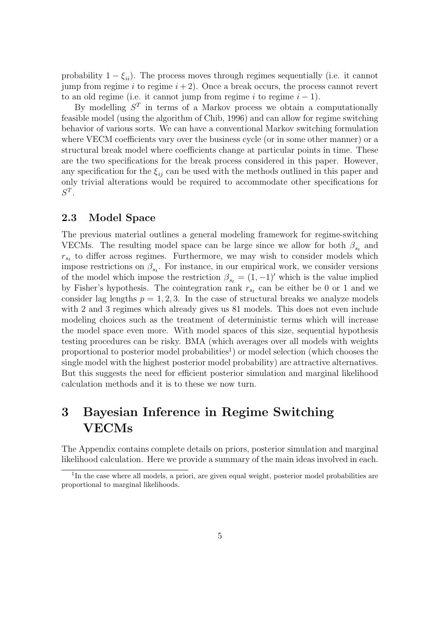probability  $1 - \xi_{ii}$ ). The process moves through regimes sequentially (i.e. it cannot jump from regime i to regime  $i + 2$ ). Once a break occurs, the process cannot revert to an old regime (i.e. it cannot jump from regime i to regime  $i - 1$ ).

By modelling  $S<sup>T</sup>$  in terms of a Markov process we obtain a computationally feasible model (using the algorithm of Chib, 1996) and can allow for regime switching behavior of various sorts. We can have a conventional Markov switching formulation where VECM coefficients vary over the business cycle (or in some other manner) or a structural break model where coefficients change at particular points in time. These are the two specifications for the break process considered in this paper. However, any specification for the  $\xi_{ii}$  can be used with the methods outlined in this paper and only trivial alterations would be required to accommodate other specifications for  $S^T$ .

## 2.3 Model Space

The previous material outlines a general modeling framework for regime-switching VECMs. The resulting model space can be large since we allow for both  $\beta_{s_t}$  and  $r_{s_t}$  to differ across regimes. Furthermore, we may wish to consider models which impose restrictions on  $\beta_{s_t}$ . For instance, in our empirical work, we consider versions of the model which impose the restriction  $\beta_{st} = (1, -1)'$  which is the value implied by Fisher's hypothesis. The cointegration rank  $r_{s_t}$  can be either be 0 or 1 and we consider lag lengths  $p = 1, 2, 3$ . In the case of structural breaks we analyze models with 2 and 3 regimes which already gives us 81 models. This does not even include modeling choices such as the treatment of deterministic terms which will increase the model space even more. With model spaces of this size, sequential hypothesis testing procedures can be risky. BMA (which averages over all models with weights proportional to posterior model probabilities<sup>1</sup>) or model selection (which chooses the single model with the highest posterior model probability) are attractive alternatives. But this suggests the need for efficient posterior simulation and marginal likelihood calculation methods and it is to these we now turn.

# 3 Bayesian Inference in Regime Switching VECMs

The Appendix contains complete details on priors, posterior simulation and marginal likelihood calculation. Here we provide a summary of the main ideas involved in each.

<sup>&</sup>lt;sup>1</sup>In the case where all models, a priori, are given equal weight, posterior model probabilities are proportional to marginal likelihoods.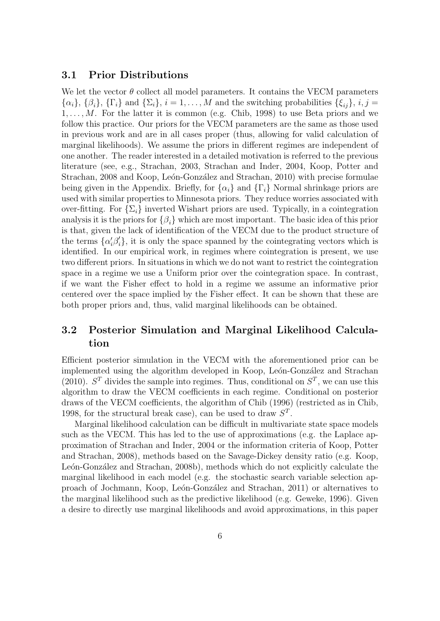## 3.1 Prior Distributions

We let the vector  $\theta$  collect all model parameters. It contains the VECM parameters  ${\{\alpha_i\}}, {\{\beta_i\}}, {\{\Gamma_i\}}$  and  ${\{\Sigma_i\}}, i = 1, \ldots, M$  and the switching probabilities  ${\{\xi_{ij}\}}, i, j = 1, \ldots, M$  $1, \ldots, M$ . For the latter it is common (e.g. Chib, 1998) to use Beta priors and we follow this practice. Our priors for the VECM parameters are the same as those used in previous work and are in all cases proper (thus, allowing for valid calculation of marginal likelihoods). We assume the priors in different regimes are independent of one another. The reader interested in a detailed motivation is referred to the previous literature (see, e.g., Strachan, 2003, Strachan and Inder, 2004, Koop, Potter and Strachan, 2008 and Koop, León-González and Strachan, 2010) with precise formulae being given in the Appendix. Briefly, for  $\{\alpha_i\}$  and  $\{\Gamma_i\}$  Normal shrinkage priors are used with similar properties to Minnesota priors. They reduce worries associated with over-fitting. For  $\{\Sigma_i\}$  inverted Wishart priors are used. Typically, in a cointegration analysis it is the priors for  $\{\beta_i\}$  which are most important. The basic idea of this prior is that, given the lack of identification of the VECM due to the product structure of the terms  $\{\alpha_i' \beta_i'\}$ , it is only the space spanned by the cointegrating vectors which is identified. In our empirical work, in regimes where cointegration is present, we use two different priors. In situations in which we do not want to restrict the cointegration space in a regime we use a Uniform prior over the cointegration space. In contrast, if we want the Fisher effect to hold in a regime we assume an informative prior centered over the space implied by the Fisher effect. It can be shown that these are both proper priors and, thus, valid marginal likelihoods can be obtained.

## 3.2 Posterior Simulation and Marginal Likelihood Calculation

Efficient posterior simulation in the VECM with the aforementioned prior can be implemented using the algorithm developed in Koop, León-González and Strachan (2010).  $S<sup>T</sup>$  divides the sample into regimes. Thus, conditional on  $S<sup>T</sup>$ , we can use this algorithm to draw the VECM coefficients in each regime. Conditional on posterior draws of the VECM coefficients, the algorithm of Chib (1996) (restricted as in Chib, 1998, for the structural break case), can be used to draw  $S<sup>T</sup>$ .

Marginal likelihood calculation can be difficult in multivariate state space models such as the VECM. This has led to the use of approximations (e.g. the Laplace approximation of Strachan and Inder, 2004 or the information criteria of Koop, Potter and Strachan, 2008), methods based on the Savage-Dickey density ratio (e.g. Koop, León-González and Strachan, 2008b), methods which do not explicitly calculate the marginal likelihood in each model (e.g. the stochastic search variable selection approach of Jochmann, Koop, Le´on-Gonz´alez and Strachan, 2011) or alternatives to the marginal likelihood such as the predictive likelihood (e.g. Geweke, 1996). Given a desire to directly use marginal likelihoods and avoid approximations, in this paper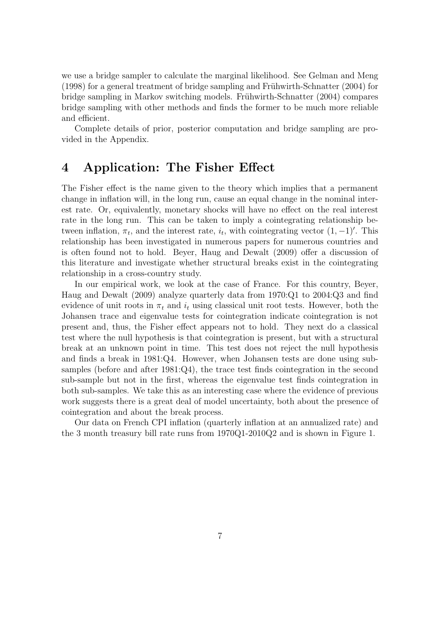we use a bridge sampler to calculate the marginal likelihood. See Gelman and Meng  $(1998)$  for a general treatment of bridge sampling and Frühwirth-Schnatter  $(2004)$  for bridge sampling in Markov switching models. Frühwirth-Schnatter (2004) compares bridge sampling with other methods and finds the former to be much more reliable and efficient.

Complete details of prior, posterior computation and bridge sampling are provided in the Appendix.

## 4 Application: The Fisher Effect

The Fisher effect is the name given to the theory which implies that a permanent change in inflation will, in the long run, cause an equal change in the nominal interest rate. Or, equivalently, monetary shocks will have no effect on the real interest rate in the long run. This can be taken to imply a cointegrating relationship between inflation,  $\pi_t$ , and the interest rate,  $i_t$ , with cointegrating vector  $(1, -1)'$ . This relationship has been investigated in numerous papers for numerous countries and is often found not to hold. Beyer, Haug and Dewalt (2009) offer a discussion of this literature and investigate whether structural breaks exist in the cointegrating relationship in a cross-country study.

In our empirical work, we look at the case of France. For this country, Beyer, Haug and Dewalt (2009) analyze quarterly data from 1970:Q1 to 2004:Q3 and find evidence of unit roots in  $\pi_t$  and  $i_t$  using classical unit root tests. However, both the Johansen trace and eigenvalue tests for cointegration indicate cointegration is not present and, thus, the Fisher effect appears not to hold. They next do a classical test where the null hypothesis is that cointegration is present, but with a structural break at an unknown point in time. This test does not reject the null hypothesis and finds a break in 1981:Q4. However, when Johansen tests are done using subsamples (before and after 1981:Q4), the trace test finds cointegration in the second sub-sample but not in the first, whereas the eigenvalue test finds cointegration in both sub-samples. We take this as an interesting case where the evidence of previous work suggests there is a great deal of model uncertainty, both about the presence of cointegration and about the break process.

Our data on French CPI inflation (quarterly inflation at an annualized rate) and the 3 month treasury bill rate runs from 1970Q1-2010Q2 and is shown in Figure 1.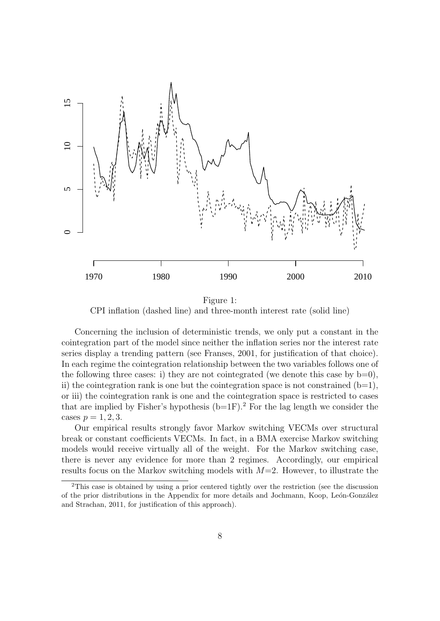

Figure 1: CPI inflation (dashed line) and three-month interest rate (solid line)

Concerning the inclusion of deterministic trends, we only put a constant in the cointegration part of the model since neither the inflation series nor the interest rate series display a trending pattern (see Franses, 2001, for justification of that choice). In each regime the cointegration relationship between the two variables follows one of the following three cases: i) they are not cointegrated (we denote this case by  $b=0$ ), ii) the cointegration rank is one but the cointegration space is not constrained  $(b=1)$ , or iii) the cointegration rank is one and the cointegration space is restricted to cases that are implied by Fisher's hypothesis  $(b=1F)$ .<sup>2</sup> For the lag length we consider the cases  $p = 1, 2, 3$ .

Our empirical results strongly favor Markov switching VECMs over structural break or constant coefficients VECMs. In fact, in a BMA exercise Markov switching models would receive virtually all of the weight. For the Markov switching case, there is never any evidence for more than 2 regimes. Accordingly, our empirical results focus on the Markov switching models with  $M=2$ . However, to illustrate the

<sup>&</sup>lt;sup>2</sup>This case is obtained by using a prior centered tightly over the restriction (see the discussion of the prior distributions in the Appendix for more details and Jochmann, Koop, León-González and Strachan, 2011, for justification of this approach).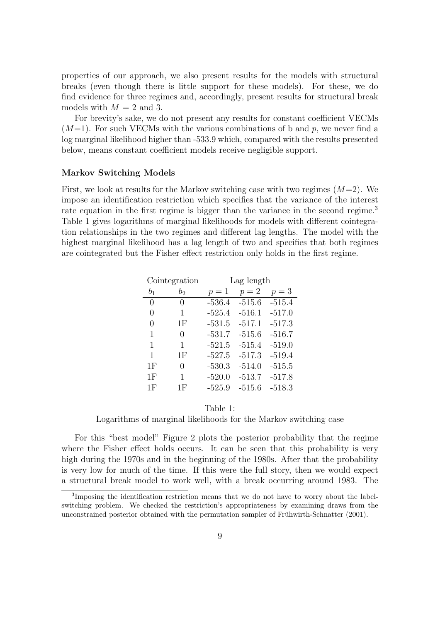properties of our approach, we also present results for the models with structural breaks (even though there is little support for these models). For these, we do find evidence for three regimes and, accordingly, present results for structural break models with  $M = 2$  and 3.

For brevity's sake, we do not present any results for constant coefficient VECMs  $(M=1)$ . For such VECMs with the various combinations of b and p, we never find a log marginal likelihood higher than -533.9 which, compared with the results presented below, means constant coefficient models receive negligible support.

#### Markov Switching Models

First, we look at results for the Markov switching case with two regimes  $(M=2)$ . We impose an identification restriction which specifies that the variance of the interest rate equation in the first regime is bigger than the variance in the second regime.<sup>3</sup> Table 1 gives logarithms of marginal likelihoods for models with different cointegration relationships in the two regimes and different lag lengths. The model with the highest marginal likelihood has a lag length of two and specifies that both regimes are cointegrated but the Fisher effect restriction only holds in the first regime.

| Cointegration    |                  | Lag length |          |          |  |
|------------------|------------------|------------|----------|----------|--|
| b <sub>1</sub>   | $b_2$            | $p=1$      | $p=2$    | $p=3$    |  |
| 0                | $\left( \right)$ | $-536.4$   | $-515.6$ | $-515.4$ |  |
| 0                | 1                | $-525.4$   | $-516.1$ | $-517.0$ |  |
| $\left( \right)$ | 1F               | $-531.5$   | $-517.1$ | $-517.3$ |  |
| 1                | 0                | $-531.7$   | $-515.6$ | $-516.7$ |  |
| 1                | 1                | $-521.5$   | $-515.4$ | $-519.0$ |  |
| 1                | 1F               | $-527.5$   | $-517.3$ | $-519.4$ |  |
| 1F               | 0                | $-530.3$   | $-514.0$ | $-515.5$ |  |
| 1F               | 1                | $-520.0$   | $-513.7$ | $-517.8$ |  |
| 1F               | 1F               | $-525.9$   | $-515.6$ | $-518.3$ |  |

## Table 1:

Logarithms of marginal likelihoods for the Markov switching case

For this "best model" Figure 2 plots the posterior probability that the regime where the Fisher effect holds occurs. It can be seen that this probability is very high during the 1970s and in the beginning of the 1980s. After that the probability is very low for much of the time. If this were the full story, then we would expect a structural break model to work well, with a break occurring around 1983. The

<sup>&</sup>lt;sup>3</sup>Imposing the identification restriction means that we do not have to worry about the labelswitching problem. We checked the restriction's appropriateness by examining draws from the unconstrained posterior obtained with the permutation sampler of Frühwirth-Schnatter (2001).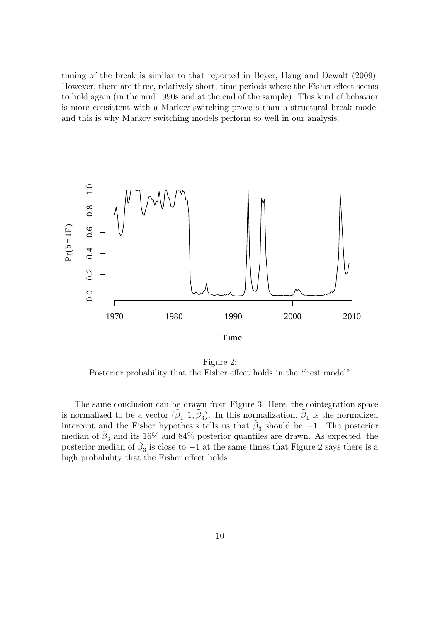timing of the break is similar to that reported in Beyer, Haug and Dewalt (2009). However, there are three, relatively short, time periods where the Fisher effect seems to hold again (in the mid 1990s and at the end of the sample). This kind of behavior is more consistent with a Markov switching process than a structural break model and this is why Markov switching models perform so well in our analysis.



Figure 2: Posterior probability that the Fisher effect holds in the "best model"

The same conclusion can be drawn from Figure 3. Here, the cointegration space is normalized to be a vector  $(\tilde{\beta}_1, 1, \tilde{\beta}_3)$ . In this normalization,  $\tilde{\beta}_1$  is the normalized intercept and the Fisher hypothesis tells us that  $\tilde{\beta}_3$  should be -1. The posterior median of  $\tilde{\beta}_3$  and its 16% and 84% posterior quantiles are drawn. As expected, the posterior median of  $\tilde{\beta}_3$  is close to  $-1$  at the same times that Figure 2 says there is a high probability that the Fisher effect holds.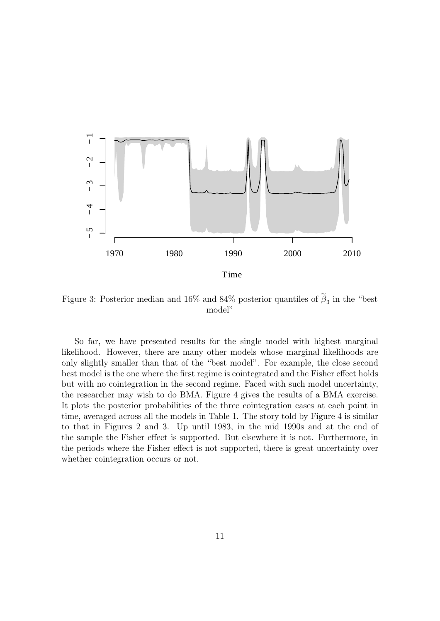

Figure 3: Posterior median and 16% and 84% posterior quantiles of  $\beta_3$  in the "best" model"

So far, we have presented results for the single model with highest marginal likelihood. However, there are many other models whose marginal likelihoods are only slightly smaller than that of the "best model". For example, the close second best model is the one where the first regime is cointegrated and the Fisher effect holds but with no cointegration in the second regime. Faced with such model uncertainty, the researcher may wish to do BMA. Figure 4 gives the results of a BMA exercise. It plots the posterior probabilities of the three cointegration cases at each point in time, averaged across all the models in Table 1. The story told by Figure 4 is similar to that in Figures 2 and 3. Up until 1983, in the mid 1990s and at the end of the sample the Fisher effect is supported. But elsewhere it is not. Furthermore, in the periods where the Fisher effect is not supported, there is great uncertainty over whether cointegration occurs or not.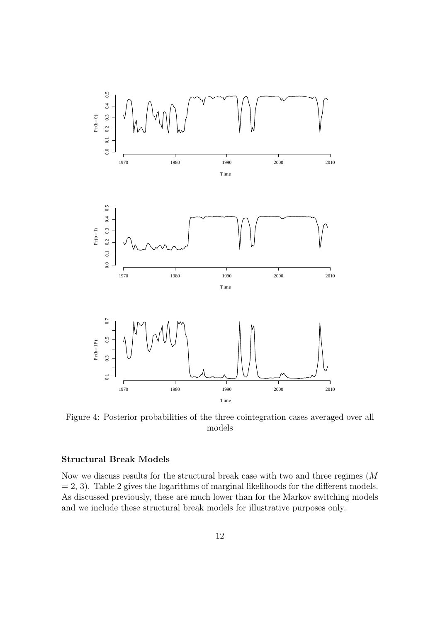

Figure 4: Posterior probabilities of the three cointegration cases averaged over all models

#### Structural Break Models

Now we discuss results for the structural break case with two and three regimes (M  $= 2, 3$ . Table 2 gives the logarithms of marginal likelihoods for the different models. As discussed previously, these are much lower than for the Markov switching models and we include these structural break models for illustrative purposes only.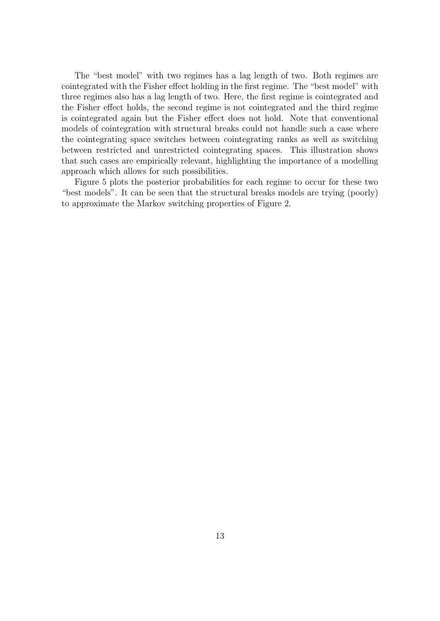The "best model" with two regimes has a lag length of two. Both regimes are cointegrated with the Fisher effect holding in the first regime. The "best model" with three regimes also has a lag length of two. Here, the first regime is cointegrated and the Fisher effect holds, the second regime is not cointegrated and the third regime is cointegrated again but the Fisher effect does not hold. Note that conventional models of cointegration with structural breaks could not handle such a case where the cointegrating space switches between cointegrating ranks as well as switching between restricted and unrestricted cointegrating spaces. This illustration shows that such cases are empirically relevant, highlighting the importance of a modelling approach which allows for such possibilities.

Figure 5 plots the posterior probabilities for each regime to occur for these two "best models". It can be seen that the structural breaks models are trying (poorly) to approximate the Markov switching properties of Figure 2.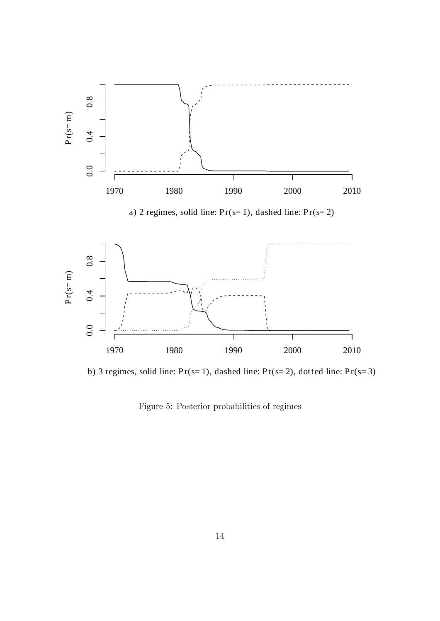

b) 3 regimes, solid line:  $Pr(s=1)$ , dashed line:  $Pr(s=2)$ , dotted line:  $Pr(s=3)$ 

Figure 5: Posterior probabilities of regimes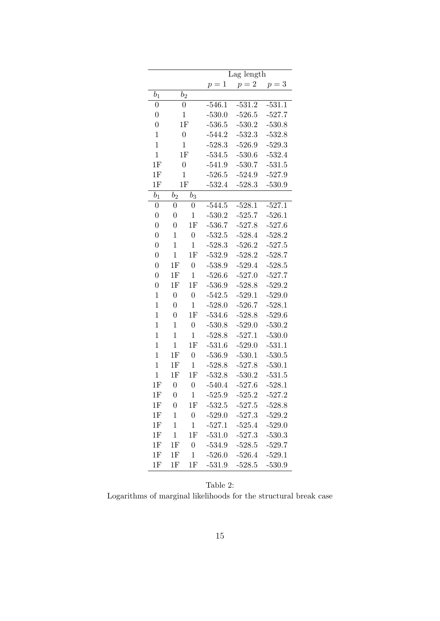|                |                  |                  | Lag length |          |          |  |  |
|----------------|------------------|------------------|------------|----------|----------|--|--|
|                |                  |                  | $p=1$      | $p=2$    | $p=3\,$  |  |  |
| $b_1$          |                  | $b_2$            |            |          |          |  |  |
| $\overline{0}$ |                  | $\overline{0}$   | $-546.1$   | $-531.2$ | $-531.1$ |  |  |
| $\overline{0}$ |                  | $\mathbf 1$      | $-530.0$   | $-526.5$ | $-527.7$ |  |  |
| $\overline{0}$ | 1F               |                  | $-536.5$   | $-530.2$ | $-530.8$ |  |  |
| $\mathbf{1}$   | $\overline{0}$   |                  | $-544.2$   | $-532.3$ | $-532.8$ |  |  |
| $\overline{1}$ | $\mathbf{1}$     |                  | $-528.3$   | $-526.9$ | $-529.3$ |  |  |
| $\mathbf 1$    | 1F               |                  | $-534.5$   | $-530.6$ | $-532.4$ |  |  |
| 1F             | $\overline{0}$   |                  | $-541.9$   | $-530.7$ | $-531.5$ |  |  |
| 1F             | $\mathbf 1$      |                  | $-526.5$   | $-524.9$ | $-527.9$ |  |  |
| 1F             | 1F               |                  | $-532.4$   | $-528.3$ | $-530.9$ |  |  |
| $b_1$          | b <sub>2</sub>   | $b_3$            |            |          |          |  |  |
| $\overline{0}$ | $\overline{0}$   | $\overline{0}$   | $-544.5$   | $-528.1$ | $-527.1$ |  |  |
| $\overline{0}$ | $\overline{0}$   | $\mathbf{1}$     | $-530.2$   | $-525.7$ | $-526.1$ |  |  |
| $\overline{0}$ | $\overline{0}$   | 1F               | $-536.7$   | $-527.8$ | $-527.6$ |  |  |
| $\overline{0}$ | $\mathbf{1}$     | $\overline{0}$   | $-532.5$   | $-528.4$ | $-528.2$ |  |  |
| $\overline{0}$ | $\mathbf 1$      | $\mathbf{1}$     | $-528.3$   | $-526.2$ | $-527.5$ |  |  |
| $\overline{0}$ | $\mathbf{1}$     | 1F               | $-532.9$   | $-528.2$ | $-528.7$ |  |  |
| $\overline{0}$ | 1F               | $\overline{0}$   | $-538.9$   | $-529.4$ | $-528.5$ |  |  |
| $\overline{0}$ | $1\mathrm{F}$    | $\mathbf{1}$     | $-526.6$   | $-527.0$ | $-527.7$ |  |  |
| $\overline{0}$ | 1F               | 1F               | $-536.9$   | $-528.8$ | $-529.2$ |  |  |
| $\mathbf 1$    | $\overline{0}$   | $\overline{0}$   | $-542.5$   | $-529.1$ | $-529.0$ |  |  |
| $\mathbf 1$    | $\overline{0}$   | $\mathbf 1$      | $-528.0$   | $-526.7$ | $-528.1$ |  |  |
| $\mathbf 1$    | $\overline{0}$   | 1F               | $-534.6$   | $-528.8$ | $-529.6$ |  |  |
| $\mathbf 1$    | $\mathbf 1$      | $\overline{0}$   | $-530.8$   | $-529.0$ | $-530.2$ |  |  |
| $\mathbf 1$    | $\mathbf 1$      | $\mathbf{1}$     | $-528.8$   | $-527.1$ | $-530.0$ |  |  |
| $\mathbf 1$    | $\mathbf{1}$     | 1F               | $-531.6$   | $-529.0$ | $-531.1$ |  |  |
| $\overline{1}$ | 1F               | $\overline{0}$   | $-536.9$   | $-530.1$ | $-530.5$ |  |  |
| $\overline{1}$ | 1F               | $\mathbf{1}$     | $-528.8$   | $-527.8$ | $-530.1$ |  |  |
| $\mathbf{1}$   | $1\mathrm{F}$    | 1F               | $-532.8$   | $-530.2$ | $-531.5$ |  |  |
| 1F             | $\overline{0}$   | $\overline{0}$   | $-540.4$   | $-527.6$ | $-528.1$ |  |  |
| 1F             | $\boldsymbol{0}$ | $\,1\,$          | 525.9      | $-525.2$ | $-527.2$ |  |  |
| $1\mathrm{F}$  | 0                | $1\mathrm{F}$    | $-532.5$   | $-527.5$ | $-528.8$ |  |  |
| $1\mathrm{F}$  | $\mathbf{1}$     | $\boldsymbol{0}$ | $-529.0$   | $-527.3$ | $-529.2$ |  |  |
| 1F             | $\mathbf{1}$     | $\mathbf{1}$     | $-527.1$   | $-525.4$ | $-529.0$ |  |  |
| 1F             | $\mathbf{1}$     | 1F               | $-531.0$   | $-527.3$ | $-530.3$ |  |  |
| 1F             | 1F               | $\boldsymbol{0}$ | $-534.9$   | $-528.5$ | $-529.7$ |  |  |
| 1F             | 1F               | $\mathbf{1}$     | $-526.0$   | $-526.4$ | $-529.1$ |  |  |
| 1F             | 1F               | 1F               | $-531.9$   | $-528.5$ | $-530.9$ |  |  |

Table 2: Logarithms of marginal likelihoods for the structural break case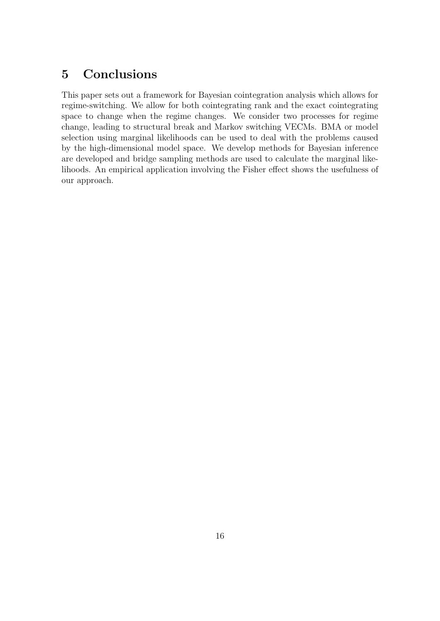## 5 Conclusions

This paper sets out a framework for Bayesian cointegration analysis which allows for regime-switching. We allow for both cointegrating rank and the exact cointegrating space to change when the regime changes. We consider two processes for regime change, leading to structural break and Markov switching VECMs. BMA or model selection using marginal likelihoods can be used to deal with the problems caused by the high-dimensional model space. We develop methods for Bayesian inference are developed and bridge sampling methods are used to calculate the marginal likelihoods. An empirical application involving the Fisher effect shows the usefulness of our approach.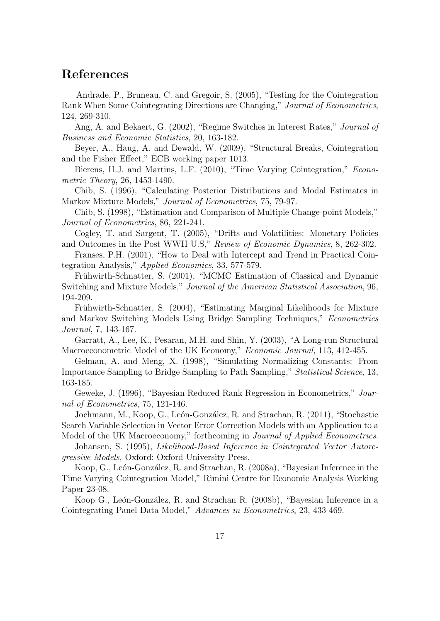## References

Andrade, P., Bruneau, C. and Gregoir, S. (2005), "Testing for the Cointegration Rank When Some Cointegrating Directions are Changing," Journal of Econometrics, 124, 269-310.

Ang, A. and Bekaert, G. (2002), "Regime Switches in Interest Rates," Journal of Business and Economic Statistics, 20, 163-182.

Beyer, A., Haug, A. and Dewald, W. (2009), "Structural Breaks, Cointegration and the Fisher Effect," ECB working paper 1013.

Bierens, H.J. and Martins, L.F. (2010), "Time Varying Cointegration," *Econo*metric Theory, 26, 1453-1490.

Chib, S. (1996), "Calculating Posterior Distributions and Modal Estimates in Markov Mixture Models," Journal of Econometrics, 75, 79-97.

Chib, S. (1998), "Estimation and Comparison of Multiple Change-point Models," Journal of Econometrics, 86, 221-241.

Cogley, T. and Sargent, T. (2005), "Drifts and Volatilities: Monetary Policies and Outcomes in the Post WWII U.S," Review of Economic Dynamics, 8, 262-302.

Franses, P.H. (2001), "How to Deal with Intercept and Trend in Practical Cointegration Analysis," Applied Economics, 33, 577-579.

Frühwirth-Schnatter, S. (2001), "MCMC Estimation of Classical and Dynamic Switching and Mixture Models," Journal of the American Statistical Association, 96, 194-209.

Frühwirth-Schnatter, S. (2004), "Estimating Marginal Likelihoods for Mixture and Markov Switching Models Using Bridge Sampling Techniques," Econometrics Journal, 7, 143-167.

Garratt, A., Lee, K., Pesaran, M.H. and Shin, Y. (2003), "A Long-run Structural Macroeconometric Model of the UK Economy," Economic Journal, 113, 412-455.

Gelman, A. and Meng, X. (1998), "Simulating Normalizing Constants: From Importance Sampling to Bridge Sampling to Path Sampling," Statistical Science, 13, 163-185.

Geweke, J. (1996), "Bayesian Reduced Rank Regression in Econometrics," Journal of Econometrics, 75, 121-146.

Jochmann, M., Koop, G., León-González, R. and Strachan, R. (2011), "Stochastic Search Variable Selection in Vector Error Correction Models with an Application to a Model of the UK Macroeconomy," forthcoming in Journal of Applied Econometrics.

Johansen, S. (1995), Likelihood-Based Inference in Cointegrated Vector Autoregressive Models, Oxford: Oxford University Press.

Koop,  $G_{\cdot}$ , León-González, R. and Strachan, R. (2008a), "Bayesian Inference in the Time Varying Cointegration Model," Rimini Centre for Economic Analysis Working Paper 23-08.

Koop G., León-González, R. and Strachan R. (2008b), "Bayesian Inference in a Cointegrating Panel Data Model," Advances in Econometrics, 23, 433-469.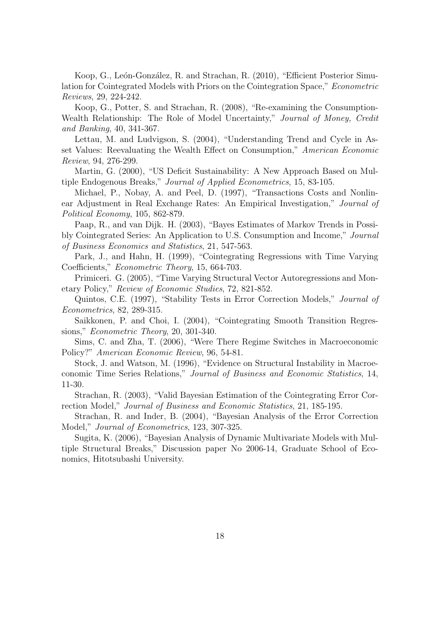Koop, G., León-González, R. and Strachan, R. (2010), "Efficient Posterior Simulation for Cointegrated Models with Priors on the Cointegration Space," Econometric Reviews, 29, 224-242.

Koop, G., Potter, S. and Strachan, R. (2008), "Re-examining the Consumption-Wealth Relationship: The Role of Model Uncertainty," Journal of Money, Credit and Banking, 40, 341-367.

Lettau, M. and Ludvigson, S. (2004), "Understanding Trend and Cycle in Asset Values: Reevaluating the Wealth Effect on Consumption," American Economic Review, 94, 276-299.

Martin, G. (2000), "US Deficit Sustainability: A New Approach Based on Multiple Endogenous Breaks," Journal of Applied Econometrics, 15, 83-105.

Michael, P., Nobay, A. and Peel, D. (1997), "Transactions Costs and Nonlinear Adjustment in Real Exchange Rates: An Empirical Investigation," Journal of Political Economy, 105, 862-879.

Paap, R., and van Dijk. H. (2003), "Bayes Estimates of Markov Trends in Possibly Cointegrated Series: An Application to U.S. Consumption and Income," Journal of Business Economics and Statistics, 21, 547-563.

Park, J., and Hahn, H. (1999), "Cointegrating Regressions with Time Varying Coefficients," Econometric Theory, 15, 664-703.

Primiceri. G. (2005), "Time Varying Structural Vector Autoregressions and Monetary Policy," Review of Economic Studies, 72, 821-852.

Quintos, C.E. (1997), "Stability Tests in Error Correction Models," Journal of Econometrics, 82, 289-315.

Saikkonen, P. and Choi, I. (2004), "Cointegrating Smooth Transition Regressions," Econometric Theory, 20, 301-340.

Sims, C. and Zha, T. (2006), "Were There Regime Switches in Macroeconomic Policy?" American Economic Review, 96, 54-81.

Stock, J. and Watson, M. (1996), "Evidence on Structural Instability in Macroeconomic Time Series Relations," Journal of Business and Economic Statistics, 14, 11-30.

Strachan, R. (2003), "Valid Bayesian Estimation of the Cointegrating Error Correction Model," Journal of Business and Economic Statistics, 21, 185-195.

Strachan, R. and Inder, B. (2004), "Bayesian Analysis of the Error Correction Model," Journal of Econometrics, 123, 307-325.

Sugita, K. (2006), "Bayesian Analysis of Dynamic Multivariate Models with Multiple Structural Breaks," Discussion paper No 2006-14, Graduate School of Economics, Hitotsubashi University.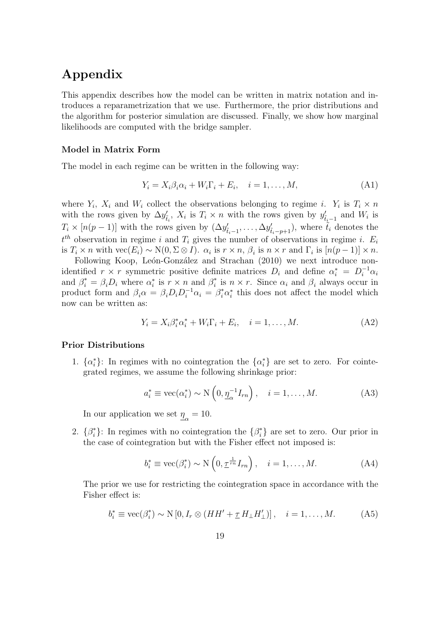# Appendix

This appendix describes how the model can be written in matrix notation and introduces a reparametrization that we use. Furthermore, the prior distributions and the algorithm for posterior simulation are discussed. Finally, we show how marginal likelihoods are computed with the bridge sampler.

## Model in Matrix Form

The model in each regime can be written in the following way:

$$
Y_i = X_i \beta_i \alpha_i + W_i \Gamma_i + E_i, \quad i = 1, \dots, M,
$$
\n(A1)

where  $Y_i$ ,  $X_i$  and  $W_i$  collect the observations belonging to regime *i*.  $Y_i$  is  $T_i \times n$ with the rows given by  $\Delta y'_{\tilde{t}_i}$ ,  $X_i$  is  $T_i \times n$  with the rows given by  $y'_{\tilde{t}_i-1}$  and  $W_i$  is  $T_i \times [n(p-1)]$  with the rows given by  $(\Delta y'_{\tilde{t}_i-1}, \ldots, \Delta y'_{\tilde{t}_i-p+1})$ , where  $\tilde{t}_i$  denotes the  $t^{th}$  observation in regime i and  $T_i$  gives the number of observations in regime i.  $E_i$ is  $T_i \times n$  with  $\text{vec}(E_i) \sim \text{N}(0, \Sigma \otimes I)$ .  $\alpha_i$  is  $r \times n$ ,  $\beta_i$  is  $n \times r$  and  $\Gamma_i$  is  $[n(p-1)] \times n$ .

Following Koop, León-González and Strachan (2010) we next introduce nonidentified  $r \times r$  symmetric positive definite matrices  $D_i$  and define  $\alpha_i^* = D_i^{-1} \alpha_i$ and  $\beta_i^* = \beta_i D_i$  where  $\alpha_i^*$  is  $r \times n$  and  $\beta_i^*$  $i_i^*$  is  $n \times r$ . Since  $\alpha_i$  and  $\beta_i$  always occur in product form and  $\beta_i \alpha = \beta_i D_i D_i^{-1} \alpha_i = \beta_i^* \alpha_i^*$  this does not affect the model which now can be written as:

$$
Y_i = X_i \beta_i^* \alpha_i^* + W_i \Gamma_i + E_i, \quad i = 1, \dots, M. \tag{A2}
$$

#### Prior Distributions

1.  $\{\alpha_i^*\}$ : In regimes with no cointegration the  $\{\alpha_i^*\}$  are set to zero. For cointegrated regimes, we assume the following shrinkage prior:

$$
a_i^* \equiv \text{vec}(\alpha_i^*) \sim \text{N}\left(0, \underline{\eta}_{\alpha}^{-1} I_{rn}\right), \quad i = 1, \dots, M. \tag{A3}
$$

In our application we set  $\eta_{\alpha} = 10$ .

2.  $\{\beta_i^*\}$ : In regimes with no cointegration the  $\{\beta_i^*\}$  are set to zero. Our prior in the case of cointegration but with the Fisher effect not imposed is:

$$
b_i^* \equiv \text{vec}(\beta_i^*) \sim \text{N}\left(0, \underline{\tau}^{\frac{1}{rn}} I_{rn}\right), \quad i = 1, \dots, M. \tag{A4}
$$

The prior we use for restricting the cointegration space in accordance with the Fisher effect is:

$$
b_i^* \equiv \text{vec}(\beta_i^*) \sim \text{N}\left[0, I_r \otimes (HH' + \underline{\tau} H_{\perp} H'_{\perp})\right], \quad i = 1, \dots, M. \tag{A5}
$$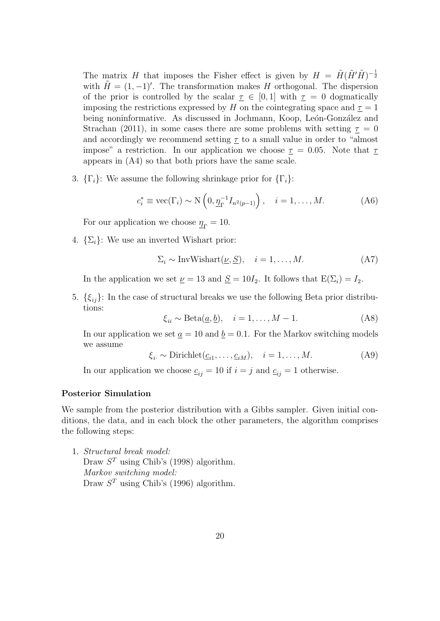The matrix H that imposes the Fisher effect is given by  $H = \tilde{H}(\tilde{H}'\tilde{H})^{-\frac{1}{2}}$ with  $\tilde{H} = (1, -1)'$ . The transformation makes H orthogonal. The dispersion of the prior is controlled by the scalar  $\tau \in [0,1]$  with  $\tau = 0$  dogmatically imposing the restrictions expressed by H on the cointegrating space and  $\underline{\tau} = 1$ being noninformative. As discussed in Jochmann, Koop, León-González and Strachan (2011), in some cases there are some problems with setting  $\tau = 0$ and accordingly we recommend setting  $\tau$  to a small value in order to "almost" impose" a restriction. In our application we choose  $\tau = 0.05$ . Note that  $\tau$ appears in (A4) so that both priors have the same scale.

3.  $\{\Gamma_i\}$ : We assume the following shrinkage prior for  $\{\Gamma_i\}$ :

$$
c_i^* \equiv \text{vec}(\Gamma_i) \sim \text{N}\left(0, \underline{\eta}_{\Gamma}^{-1} I_{n^2(p-1)}\right), \quad i = 1, \dots, M. \tag{A6}
$$

For our application we choose  $\underline{\eta}_{\Gamma} = 10$ .

4.  $\{\Sigma_i\}$ : We use an inverted Wishart prior:

$$
\Sigma_i \sim \text{InvWishart}(\underline{\nu}, \underline{S}), \quad i = 1, \dots, M. \tag{A7}
$$

In the application we set  $\nu = 13$  and  $S = 10I_2$ . It follows that  $E(\Sigma_i) = I_2$ .

5.  $\{\xi_{ij}\}\$ : In the case of structural breaks we use the following Beta prior distributions:

$$
\xi_{ii} \sim \text{Beta}(\underline{a}, \underline{b}), \quad i = 1, \dots, M - 1. \tag{A8}
$$

In our application we set  $\underline{a} = 10$  and  $\underline{b} = 0.1$ . For the Markov switching models we assume

$$
\xi_i \sim \text{Dirichlet}(\underline{c}_{i1}, \dots, \underline{c}_{iM}), \quad i = 1, \dots, M. \tag{A9}
$$

In our application we choose  $c_{ij} = 10$  if  $i = j$  and  $c_{ij} = 1$  otherwise.

## Posterior Simulation

We sample from the posterior distribution with a Gibbs sampler. Given initial conditions, the data, and in each block the other parameters, the algorithm comprises the following steps:

1. Structural break model: Draw  $S<sup>T</sup>$  using Chib's (1998) algorithm. Markov switching model: Draw  $S<sup>T</sup>$  using Chib's (1996) algorithm.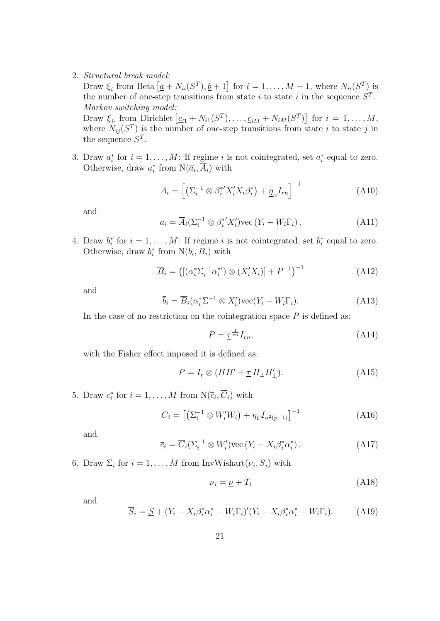2. Structural break model:

Draw  $\xi_i$  from Beta  $[\underline{a} + N_{ii}(S^T), \underline{b} + 1]$  for  $i = 1, ..., M - 1$ , where  $N_{ii}(S^T)$  is the number of one-step transitions from state i to state i in the sequence  $S<sup>T</sup>$ . Markov switching model:

Draw  $\xi_i$ , from Dirichlet  $[\underline{c}_{i1} + N_{i1}(S^T), \ldots, \underline{c}_{iM} + N_{iM}(S^T)]$  for  $i = 1, \ldots, M$ , where  $N_{ij}(S^T)$  is the number of one-step transitions from state i to state j in the sequence  $S^T$ .

3. Draw  $a_i^*$  for  $i = 1, ..., M$ : If regime i is not cointegrated, set  $a_i^*$  equal to zero. Otherwise, draw  $a_i^*$  from  $N(\overline{a}_i, \overline{A}_i)$  with

$$
\overline{A}_{i} = \left[ \left( \Sigma_{i}^{-1} \otimes \beta_{i}^{*'} X_{i}' X_{i} \beta_{i}^{*} \right) + \underline{\eta}_{\alpha} I_{rn} \right]^{-1} \tag{A10}
$$

and

$$
\overline{a}_i = \overline{A}_i (\Sigma_i^{-1} \otimes \beta_i^{*'} X_i') \text{vec}(Y_i - W_i \Gamma_i).
$$
 (A11)

4. Draw  $b_i^*$  for  $i = 1, ..., M$ : If regime i is not cointegrated, set  $b_i^*$  equal to zero. Otherwise, draw  $b_i^*$  from  $N(\overline{b}_i, \overline{B}_i)$  with

$$
\overline{B}_i = \left( \left[ \left( \alpha_i^* \Sigma_i^{-1} \alpha_i^{*'} \right) \otimes \left( X_i' X_i \right) \right] + P^{-1} \right)^{-1} \tag{A12}
$$

and

$$
\overline{b}_i = \overline{B}_i(\alpha_i^* \Sigma^{-1} \otimes X_i') \text{vec}(Y_i - W_i \Gamma_i). \tag{A13}
$$

In the case of no restriction on the cointegration space  $P$  is defined as:

$$
P = \underline{\tau}^{\frac{1}{rn}} I_{rn},\tag{A14}
$$

with the Fisher effect imposed it is defined as:

$$
P = I_r \otimes (HH' + \underline{\tau} H_{\perp} H'_{\perp}). \tag{A15}
$$

5. Draw  $c_i^*$  for  $i = 1, ..., M$  from  $N(\overline{c}_i, \overline{C}_i)$  with

$$
\overline{C}_i = \left[ \left( \Sigma_i^{-1} \otimes W_i' W_i \right) + \eta_{\Gamma} I_{n^2(p-1)} \right]^{-1} \tag{A16}
$$

and

$$
\overline{c}_i = \overline{C}_i \left( \Sigma_i^{-1} \otimes W_i' \right) \text{vec} \left( Y_i - X_i \beta_i^* \alpha_i^* \right). \tag{A17}
$$

6. Draw  $\Sigma_i$  for  $i = 1, ..., M$  from InvWishart $(\overline{\nu}_i, S_i)$  with

$$
\overline{\nu}_i = \underline{\nu} + T_i \tag{A18}
$$

and

$$
\overline{S}_i = \underline{S} + (Y_i - X_i \beta_i^* \alpha_i^* - W_i \Gamma_i)' (Y_i - X_i \beta_i^* \alpha_i^* - W_i \Gamma_i). \tag{A19}
$$